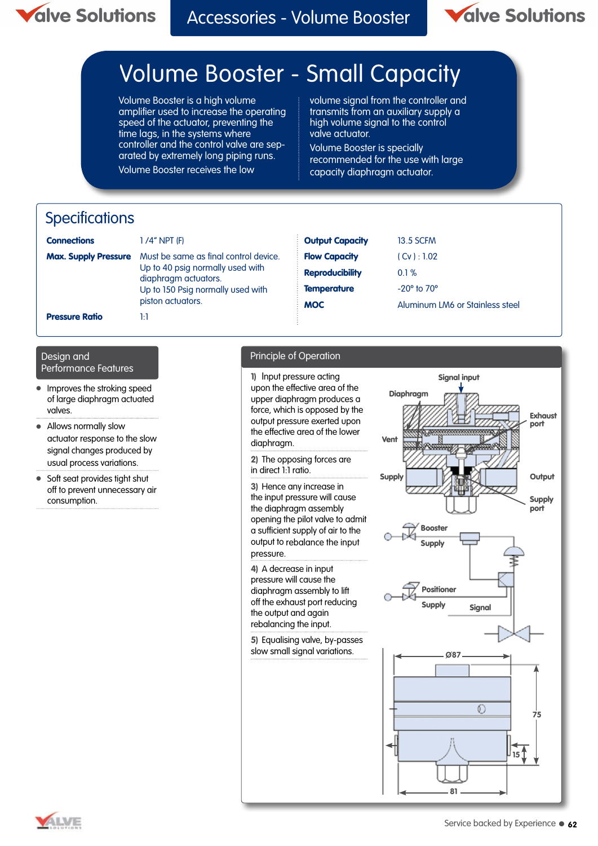

Accessories - Volume Booster



# Volume Booster - Small Capacity

Volume Booster is a high volume amplifier used to increase the operating speed of the actuator, preventing the time lags, in the systems where controller and the control valve are separated by extremely long piping runs. Volume Booster receives the low

volume signal from the controller and transmits from an auxiliary supply a high volume signal to the control valve actuator.

Volume Booster is specially recommended for the use with large capacity diaphragm actuator.

### **Specifications**

| <b>Connections</b>          | 1 /4" NPT (F)                                                                                                                                               | <b>Output Capacity</b> | <b>13.5 SCFM</b>                |
|-----------------------------|-------------------------------------------------------------------------------------------------------------------------------------------------------------|------------------------|---------------------------------|
| <b>Max. Supply Pressure</b> | Must be same as final control device.<br>Up to 40 psig normally used with<br>diaphragm actuators.<br>Up to 150 Psig normally used with<br>piston actuators. | <b>Flow Capacity</b>   | (Cv): 1.02                      |
|                             |                                                                                                                                                             | <b>Reproducibility</b> | 0.1%                            |
|                             |                                                                                                                                                             | <b>Temperature</b>     | $-20^\circ$ to $70^\circ$       |
|                             |                                                                                                                                                             | <b>MOC</b>             | Aluminum LM6 or Stainless steel |
| <b>Pressure Ratio</b>       | 14                                                                                                                                                          |                        |                                 |

## Performance Features

- **Improves the stroking speed** of large diaphragm actuated valves.
- Allows normally slow actuator response to the slow signal changes produced by usual process variations.
- Soft seat provides tight shut off to prevent unnecessary air consumption.

#### Design and Principle of Operation

**1)** Input pressure acting upon the effective area of the upper diaphragm produces a force, which is opposed by the output pressure exerted upon the effective area of the lower diaphragm.

**2)** The opposing forces are in direct 1:1 ratio.

**3)** Hence any increase in the input pressure will cause the diaphragm assembly opening the pilot valve to admit a sufficient supply of air to the output to rebalance the input pressure.

**4)** A decrease in input pressure will cause the diaphragm assembly to lift off the exhaust port reducing the output and again rebalancing the input.

**5)** Equalising valve, by-passes slow small signal variations.